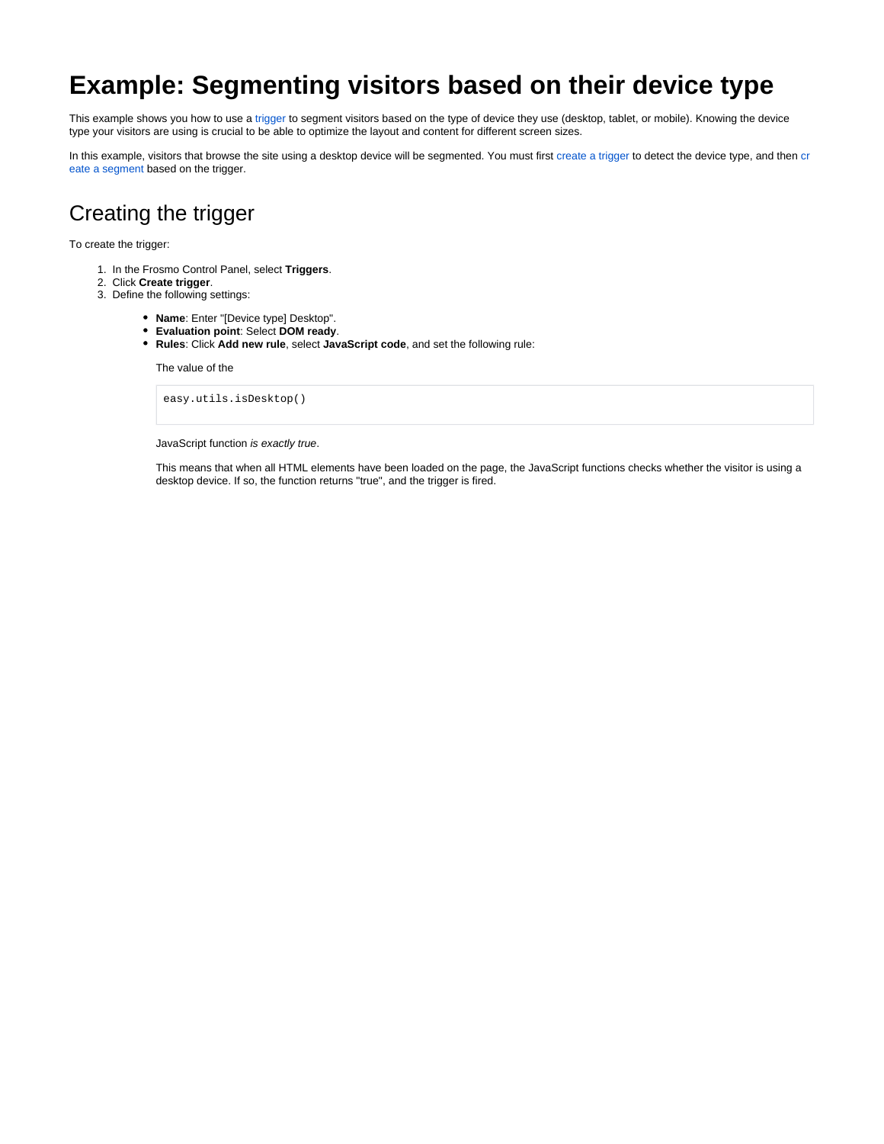## **Example: Segmenting visitors based on their device type**

This example shows you how to use a [trigger](https://docs.frosmo.com/display/platform/Feature%3A+Trigger) to segment visitors based on the type of device they use (desktop, tablet, or mobile). Knowing the device type your visitors are using is crucial to be able to optimize the layout and content for different screen sizes.

In this example, visitors that browse the site using a desktop device will be segmented. You must first [create a trigger](#page-0-0) to detect the device type, and then [cr](#page-1-0) [eate a segment](#page-1-0) based on the trigger.

## <span id="page-0-0"></span>Creating the trigger

To create the trigger:

- 1. In the Frosmo Control Panel, select **Triggers**.
- 2. Click **Create trigger**.
- 3. Define the following settings:
	- **Name**: Enter "[Device type] Desktop".
	- **Evaluation point**: Select **DOM ready**.
	- **Rules**: Click **Add new rule**, select **JavaScript code**, and set the following rule:

The value of the

easy.utils.isDesktop()

JavaScript function is exactly true.

This means that when all HTML elements have been loaded on the page, the JavaScript functions checks whether the visitor is using a desktop device. If so, the function returns "true", and the trigger is fired.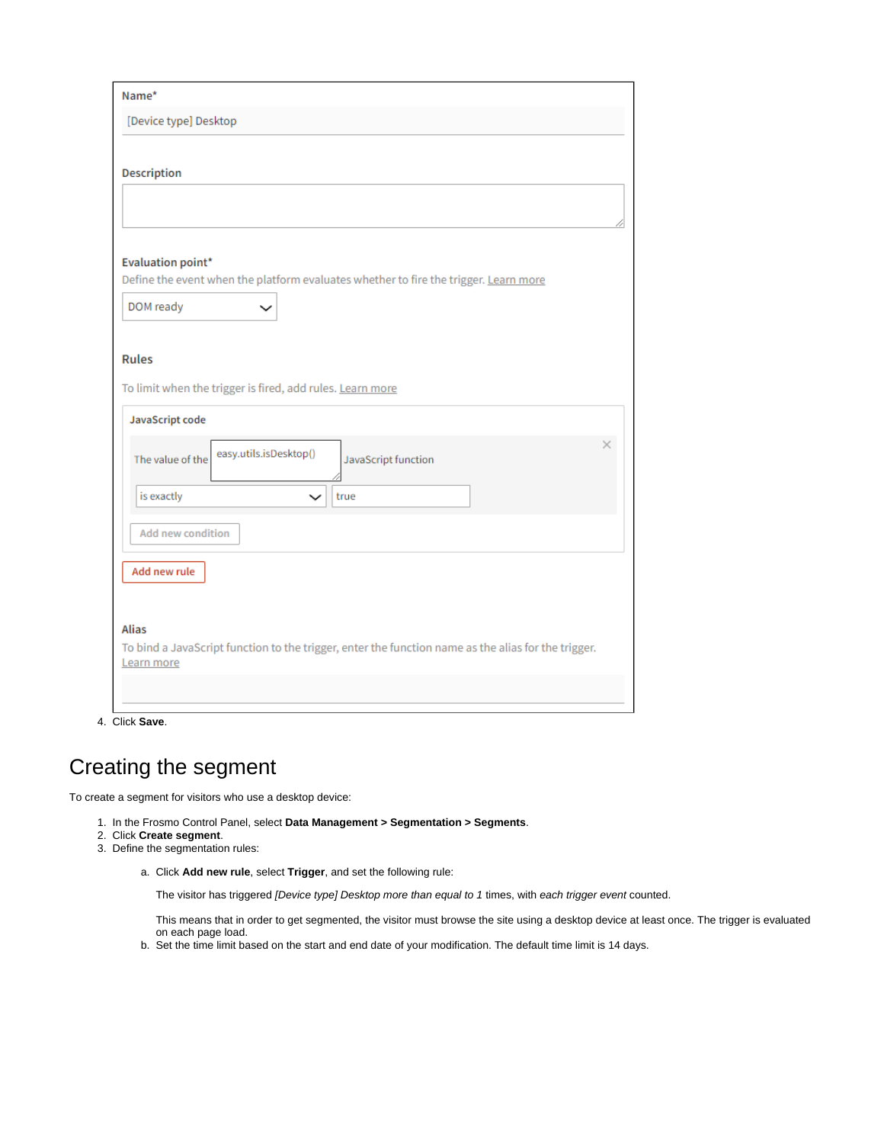| Name*                                                                                               |   |
|-----------------------------------------------------------------------------------------------------|---|
| [Device type] Desktop                                                                               |   |
|                                                                                                     |   |
| <b>Description</b>                                                                                  |   |
|                                                                                                     |   |
|                                                                                                     |   |
| Evaluation point*                                                                                   |   |
| Define the event when the platform evaluates whether to fire the trigger. Learn more                |   |
| DOM ready                                                                                           |   |
|                                                                                                     |   |
| <b>Rules</b>                                                                                        |   |
| To limit when the trigger is fired, add rules. Learn more                                           |   |
|                                                                                                     |   |
| JavaScript code                                                                                     |   |
| easy.utils.isDesktop()<br>The value of the<br>JavaScript function                                   | × |
|                                                                                                     |   |
| is exactly<br>true<br>$\check{ }$                                                                   |   |
| <b>Add new condition</b>                                                                            |   |
|                                                                                                     |   |
| Add new rule                                                                                        |   |
|                                                                                                     |   |
| Alias                                                                                               |   |
| To bind a JavaScript function to the trigger, enter the function name as the alias for the trigger. |   |
| Learn more                                                                                          |   |
|                                                                                                     |   |

4. Click **Save**.

## <span id="page-1-0"></span>Creating the segment

To create a segment for visitors who use a desktop device:

- 1. In the Frosmo Control Panel, select **Data Management > Segmentation > Segments**.
- 2. Click **Create segment**.
- 3. Define the segmentation rules:
	- a. Click **Add new rule**, select **Trigger**, and set the following rule:

The visitor has triggered [Device type] Desktop more than equal to 1 times, with each trigger event counted.

This means that in order to get segmented, the visitor must browse the site using a desktop device at least once. The trigger is evaluated on each page load.

b. Set the time limit based on the start and end date of your modification. The default time limit is 14 days.